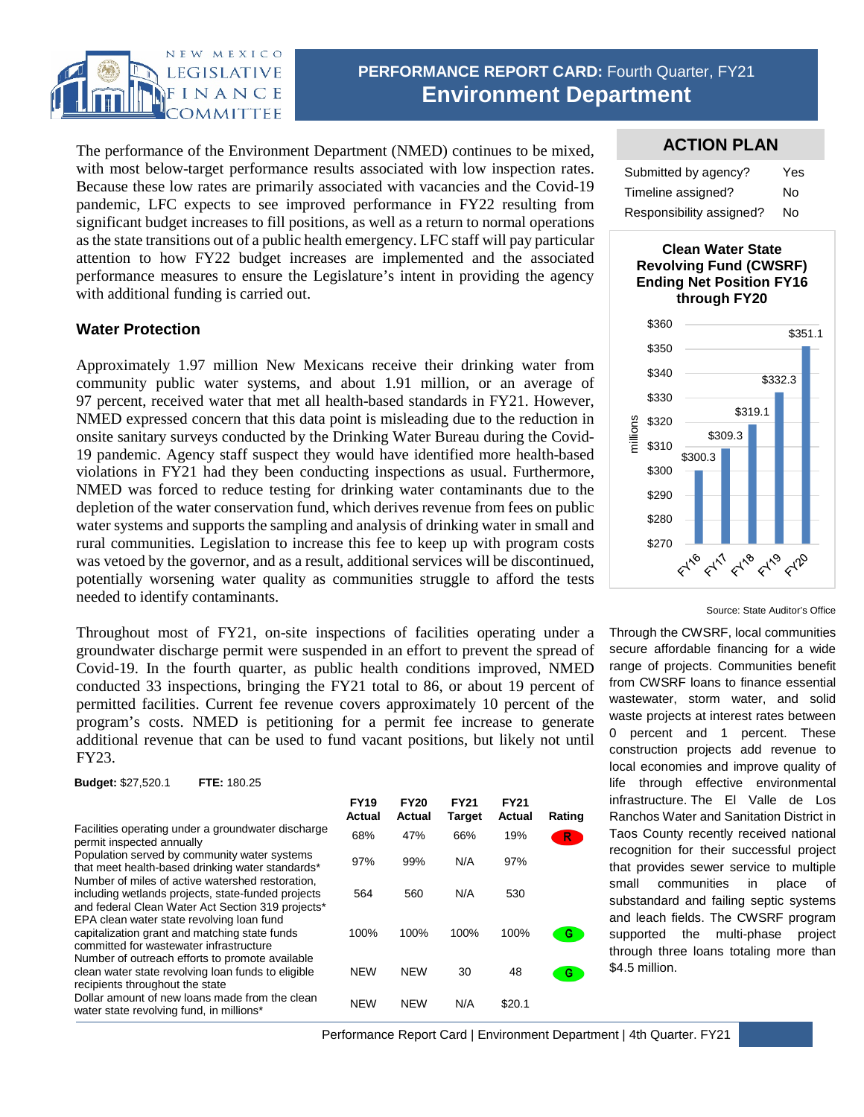

# **PERFORMANCE REPORT CARD: Fourth Quarter, FY21 Environment Department**

The performance of the Environment Department (NMED) continues to be mixed, with most below-target performance results associated with low inspection rates. Because these low rates are primarily associated with vacancies and the Covid-19 pandemic, LFC expects to see improved performance in FY22 resulting from significant budget increases to fill positions, as well as a return to normal operations as the state transitions out of a public health emergency. LFC staff will pay particular attention to how FY22 budget increases are implemented and the associated performance measures to ensure the Legislature's intent in providing the agency with additional funding is carried out.

# **Water Protection**

Approximately 1.97 million New Mexicans receive their drinking water from community public water systems, and about 1.91 million, or an average of 97 percent, received water that met all health-based standards in FY21. However, NMED expressed concern that this data point is misleading due to the reduction in onsite sanitary surveys conducted by the Drinking Water Bureau during the Covid-19 pandemic. Agency staff suspect they would have identified more health-based violations in FY21 had they been conducting inspections as usual. Furthermore, NMED was forced to reduce testing for drinking water contaminants due to the depletion of the water conservation fund, which derives revenue from fees on public water systems and supports the sampling and analysis of drinking water in small and rural communities. Legislation to increase this fee to keep up with program costs was vetoed by the governor, and as a result, additional services will be discontinued, potentially worsening water quality as communities struggle to afford the tests needed to identify contaminants.

Throughout most of FY21, on-site inspections of facilities operating under a groundwater discharge permit were suspended in an effort to prevent the spread of Covid-19. In the fourth quarter, as public health conditions improved, NMED conducted 33 inspections, bringing the FY21 total to 86, or about 19 percent of permitted facilities. Current fee revenue covers approximately 10 percent of the program's costs. NMED is petitioning for a permit fee increase to generate additional revenue that can be used to fund vacant positions, but likely not until FY23.

**Budget:** \$27,520.1 **FTE:** 180.25

|                                                                                                                                                             | <b>FY19</b><br>Actual | <b>FY20</b><br><b>Actual</b> | <b>FY21</b><br><b>Target</b> | <b>FY21</b><br>Actual | Rating |
|-------------------------------------------------------------------------------------------------------------------------------------------------------------|-----------------------|------------------------------|------------------------------|-----------------------|--------|
| Facilities operating under a groundwater discharge<br>permit inspected annually                                                                             | 68%                   | 47%                          | 66%                          | 19%                   | R.     |
| Population served by community water systems<br>that meet health-based drinking water standards*                                                            | 97%                   | 99%                          | N/A                          | 97%                   |        |
| Number of miles of active watershed restoration,<br>including wetlands projects, state-funded projects<br>and federal Clean Water Act Section 319 projects* | 564                   | 560                          | N/A                          | 530                   |        |
| EPA clean water state revolving loan fund<br>capitalization grant and matching state funds<br>committed for wastewater infrastructure                       | 100%                  | 100%                         | 100%                         | 100%                  | G      |
| Number of outreach efforts to promote available<br>clean water state revolving loan funds to eligible<br>recipients throughout the state                    | <b>NEW</b>            | <b>NEW</b>                   | 30                           | 48                    | G.     |
| Dollar amount of new loans made from the clean<br>water state revolving fund, in millions*                                                                  | <b>NEW</b>            | <b>NEW</b>                   | N/A                          | \$20.1                |        |

### **ACTION PLAN**

| Submitted by agency?     | Yes |
|--------------------------|-----|
| Timeline assigned?       | Nο  |
| Responsibility assigned? | No  |





Source: State Auditor's Office

Through the CWSRF, local communities secure affordable financing for a wide range of projects. Communities benefit from CWSRF loans to finance essential wastewater, storm water, and solid waste projects at interest rates between 0 percent and 1 percent. These construction projects add revenue to local economies and improve quality of life through effective environmental infrastructure. The El Valle de Los Ranchos Water and Sanitation District in Taos County recently received national recognition for their successful project that provides sewer service to multiple small communities in place of substandard and failing septic systems and leach fields. The CWSRF program supported the multi-phase project through three loans totaling more than \$4.5 million.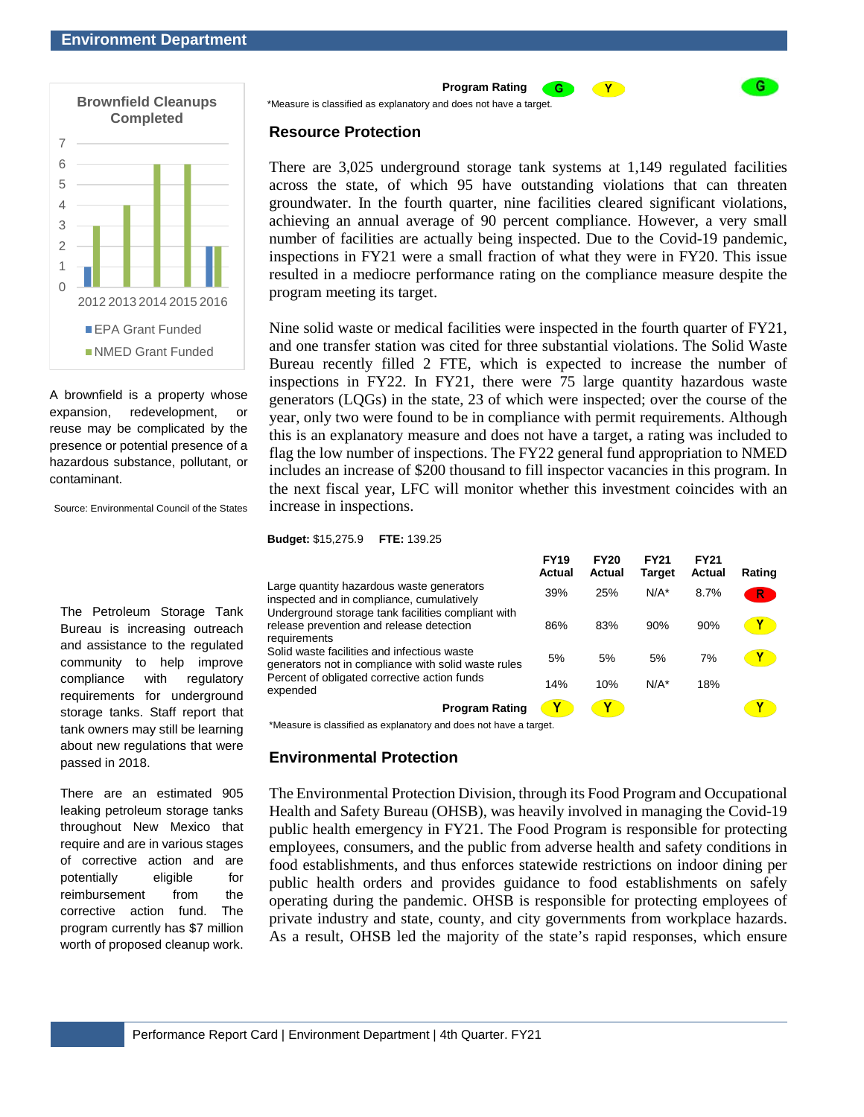

A brownfield is a property whose expansion, redevelopment, or reuse may be complicated by the presence or potential presence of a hazardous substance, pollutant, or contaminant.

Source: Environmental Council of the States

The Petroleum Storage Tank Bureau is increasing outreach and assistance to the regulated community to help improve compliance with regulatory requirements for underground storage tanks. Staff report that tank owners may still be learning about new regulations that were passed in 2018.

There are an estimated 905 leaking petroleum storage tanks throughout New Mexico that require and are in various stages of corrective action and are potentially eligible for reimbursement from the corrective action fund. The program currently has \$7 million worth of proposed cleanup work.

**Program Rating**

\*Measure is classified as explanatory and does not have a target.

#### **Resource Protection**

There are 3,025 underground storage tank systems at 1,149 regulated facilities across the state, of which 95 have outstanding violations that can threaten groundwater. In the fourth quarter, nine facilities cleared significant violations, achieving an annual average of 90 percent compliance. However, a very small number of facilities are actually being inspected. Due to the Covid-19 pandemic, inspections in FY21 were a small fraction of what they were in FY20. This issue resulted in a mediocre performance rating on the compliance measure despite the program meeting its target.

Y

G

Nine solid waste or medical facilities were inspected in the fourth quarter of FY21, and one transfer station was cited for three substantial violations. The Solid Waste Bureau recently filled 2 FTE, which is expected to increase the number of inspections in FY22. In FY21, there were 75 large quantity hazardous waste generators (LQGs) in the state, 23 of which were inspected; over the course of the year, only two were found to be in compliance with permit requirements. Although this is an explanatory measure and does not have a target, a rating was included to flag the low number of inspections. The FY22 general fund appropriation to NMED includes an increase of \$200 thousand to fill inspector vacancies in this program. In the next fiscal year, LFC will monitor whether this investment coincides with an increase in inspections.

| <b>Budget: \$15,275.9</b> | <b>FTE: 139.25</b> |
|---------------------------|--------------------|
|---------------------------|--------------------|

|                                                                                                                                                                | <b>FY19</b><br><b>Actual</b> | <b>FY20</b><br>Actual | <b>FY21</b><br><b>Target</b> | <b>FY21</b><br><b>Actual</b> | Rating |
|----------------------------------------------------------------------------------------------------------------------------------------------------------------|------------------------------|-----------------------|------------------------------|------------------------------|--------|
| Large quantity hazardous waste generators<br>inspected and in compliance, cumulatively                                                                         | 39%                          | 25%                   | $N/A^*$                      | 8.7%                         | R      |
| Underground storage tank facilities compliant with<br>release prevention and release detection<br>requirements                                                 | 86%                          | 83%                   | 90%                          | 90%                          |        |
| Solid waste facilities and infectious waste<br>generators not in compliance with solid waste rules<br>Percent of obligated corrective action funds<br>expended | 5%                           | 5%                    | 5%                           | 7%                           |        |
|                                                                                                                                                                | 14%                          | 10%                   | $N/A^*$                      | 18%                          |        |
| <b>Program Rating</b>                                                                                                                                          |                              |                       |                              |                              |        |

\*Measure is classified as explanatory and does not have a target.

#### **Environmental Protection**

The Environmental Protection Division, through its Food Program and Occupational Health and Safety Bureau (OHSB), was heavily involved in managing the Covid-19 public health emergency in FY21. The Food Program is responsible for protecting employees, consumers, and the public from adverse health and safety conditions in food establishments, and thus enforces statewide restrictions on indoor dining per public health orders and provides guidance to food establishments on safely operating during the pandemic. OHSB is responsible for protecting employees of private industry and state, county, and city governments from workplace hazards. As a result, OHSB led the majority of the state's rapid responses, which ensure